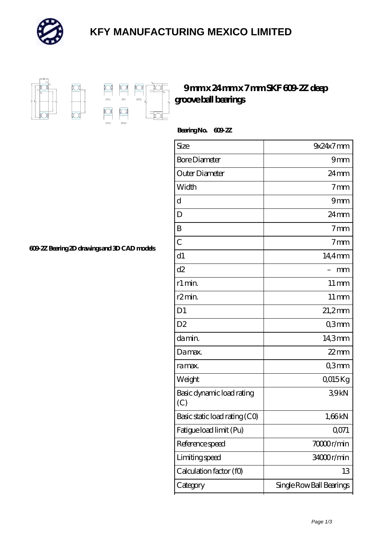

## **[KFY MANUFACTURING MEXICO LIMITED](https://mailemotion.tv)**



## **[9 mm x 24 mm x 7 mm SKF 609-2Z deep](https://mailemotion.tv/at-412388-skf-609-2z-deep-groove-ball-bearings.html) [groove ball bearings](https://mailemotion.tv/at-412388-skf-609-2z-deep-groove-ball-bearings.html)**

 **Bearing No. 609-2Z**

| Size                             | $9x24x7$ mm              |
|----------------------------------|--------------------------|
| <b>Bore Diameter</b>             | 9mm                      |
| Outer Diameter                   | $24 \text{mm}$           |
| Width                            | 7 <sub>mm</sub>          |
| d                                | 9mm                      |
| D                                | $24 \,\mathrm{mm}$       |
| B                                | 7 <sub>mm</sub>          |
| $\overline{C}$                   | 7 <sub>mm</sub>          |
| d1                               | 14,4mm                   |
| d2                               | mm                       |
| r1 min.                          | $11 \,\mathrm{mm}$       |
| r2min.                           | $11 \,\mathrm{mm}$       |
| D <sub>1</sub>                   | $21,2$ mm                |
| D <sub>2</sub>                   | Q3mm                     |
| da min.                          | 14,3mm                   |
| Damax.                           | $22$ mm                  |
| ra max.                          | Q3mm                     |
| Weight                           | QO15Kg                   |
| Basic dynamic load rating<br>(C) | 39kN                     |
| Basic static load rating (CO)    | 1,66kN                   |
| Fatigue load limit (Pu)          | QO71                     |
| Reference speed                  | 70000r/min               |
| Limiting speed                   | 34000r/min               |
| Calculation factor (f0)          | 13                       |
| Category                         | Single Row Ball Bearings |

**[609-2Z Bearing 2D drawings and 3D CAD models](https://mailemotion.tv/pic-412388.html)**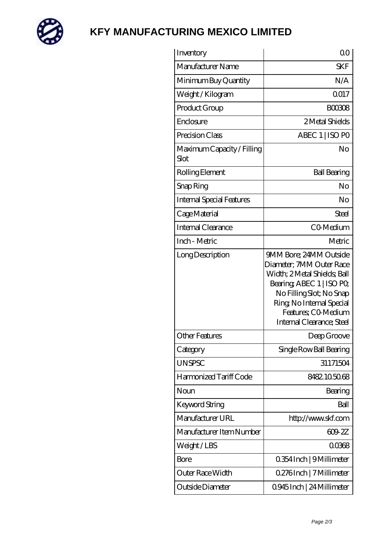

## **[KFY MANUFACTURING MEXICO LIMITED](https://mailemotion.tv)**

| Inventory                          | 00                                                                                                                                                                                                                         |
|------------------------------------|----------------------------------------------------------------------------------------------------------------------------------------------------------------------------------------------------------------------------|
| Manufacturer Name                  | <b>SKF</b>                                                                                                                                                                                                                 |
| Minimum Buy Quantity               | N/A                                                                                                                                                                                                                        |
| Weight/Kilogram                    | Q017                                                                                                                                                                                                                       |
| Product Group                      | <b>BOO308</b>                                                                                                                                                                                                              |
| Enclosure                          | 2 Metal Shields                                                                                                                                                                                                            |
| Precision Class                    | ABEC 1   ISO PO                                                                                                                                                                                                            |
| Maximum Capacity / Filling<br>Slot | No                                                                                                                                                                                                                         |
| Rolling Element                    | <b>Ball Bearing</b>                                                                                                                                                                                                        |
| Snap Ring                          | No                                                                                                                                                                                                                         |
| <b>Internal Special Features</b>   | No                                                                                                                                                                                                                         |
| Cage Material                      | <b>Steel</b>                                                                                                                                                                                                               |
| Internal Clearance                 | CO-Medium                                                                                                                                                                                                                  |
| Inch - Metric                      | Metric                                                                                                                                                                                                                     |
| Long Description                   | 9MM Bore; 24MM Outside<br>Diameter; 7MM Outer Race<br>Width; 2Metal Shields; Ball<br>Bearing, ABEC 1   ISO PO<br>No Filling Slot; No Snap<br>Ring, No Internal Special<br>Features; CO-Medium<br>Internal Clearance; Steel |
| <b>Other Features</b>              | Deep Groove                                                                                                                                                                                                                |
| Category                           | Single Row Ball Bearing                                                                                                                                                                                                    |
| <b>UNSPSC</b>                      | 31171504                                                                                                                                                                                                                   |
| Harmonized Tariff Code             | 8482105068                                                                                                                                                                                                                 |
| Noun                               | Bearing                                                                                                                                                                                                                    |
| Keyword String                     | Ball                                                                                                                                                                                                                       |
| Manufacturer URL                   | http://www.skf.com                                                                                                                                                                                                         |
| Manufacturer Item Number           | 609 2Z                                                                                                                                                                                                                     |
| Weight/LBS                         | 00368                                                                                                                                                                                                                      |
| Bore                               | 0.354 Inch   9 Millimeter                                                                                                                                                                                                  |
| Outer Race Width                   | 0.276Inch   7 Millimeter                                                                                                                                                                                                   |
| Outside Diameter                   | 0.945 Inch   24 Millimeter                                                                                                                                                                                                 |